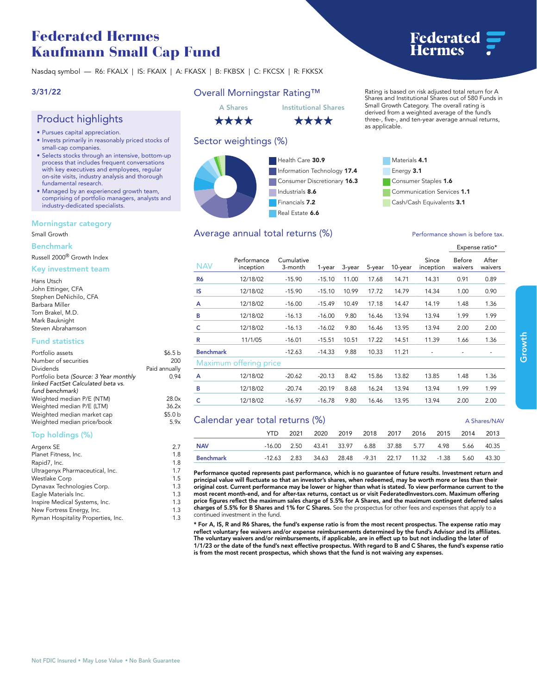# **Federated Hermes Kaufmann Small Cap Fund**

**Nasdaq symbol — R6: FKALX | IS: FKAIX | A: FKASX | B: FKBSX | C: FKCSX | R: FKKSX**

# **3/31/22**

# **Product highlights**

- **• Pursues capital appreciation.**
- **• Invests primarily in reasonably priced stocks of small-cap companies.**
- **• Selects stocks through an intensive, bottom-up process that includes frequent conversations with key executives and employees, regular on-site visits, industry analysis and thorough fundamental research.**
- **• Managed by an experienced growth team, comprising of portfolio managers, analysts and industry-dedicated specialists.**

### **Morningstar category**

### **Small Growth**

### **Benchmark**

**Russell 2000® Growth Index**

### **Key investment team**

| Hans Utsch             |
|------------------------|
| John Ettinger, CFA     |
| Stephen DeNichilo, CFA |
| Barbara Miller         |
| Tom Brakel, M.D.       |
| Mark Bauknight         |
| Steven Abrahamson      |

## **Fund statistics**

| Portfolio assets                                                                                | \$6.5h             |
|-------------------------------------------------------------------------------------------------|--------------------|
| Number of securities                                                                            | 200                |
| Dividends                                                                                       | Paid annually      |
| Portfolio beta (Source: 3 Year monthly<br>linked FactSet Calculated beta vs.<br>fund benchmark) | 0.94               |
| Weighted median P/E (NTM)                                                                       | 28.0x              |
| Weighted median P/E (LTM)                                                                       | 36.2x              |
| Weighted median market cap                                                                      | \$5.0 <sub>b</sub> |
| Weighted median price/book                                                                      | 5.9x               |
|                                                                                                 |                    |

# **Top holdings (%)**

| Argenx SE                          | 2.7 |
|------------------------------------|-----|
| Planet Fitness, Inc.               | 1.8 |
| Rapid7, Inc.                       | 1.8 |
| Ultragenyx Pharmaceutical, Inc.    | 1.7 |
| <b>Westlake Corp</b>               | 1.5 |
| Dynavax Technologies Corp.         | 1.3 |
| Eagle Materials Inc.               | 1.3 |
| Inspire Medical Systems, Inc.      | 1.3 |
| New Fortress Energy, Inc.          | 1.3 |
| Ryman Hospitality Properties, Inc. | 1.3 |
|                                    |     |

# **Overall Morningstar Rating™**

\*\*\*\*

# \*\*\*\*

# **Sector weightings (%)**



# Average annual total returns  $(\%)$  **Performance shown is before tax.**

# **A Shares Institutional Shares**



**as applicable.**

**Expense ratio\***

| <b>NAV</b>                      | Performance<br>inception | Cumulative<br>3-month | 1-year   | 3-year | 5-year | 10-year | Since<br>inception | Before<br>waivers | After<br>waivers |
|---------------------------------|--------------------------|-----------------------|----------|--------|--------|---------|--------------------|-------------------|------------------|
| R <sub>6</sub>                  | 12/18/02                 | $-15.90$              | $-15.10$ | 11.00  | 17.68  | 14.71   | 14.31              | 0.91              | 0.89             |
| IS                              | 12/18/02                 | $-15.90$              | $-15.10$ | 10.99  | 17.72  | 14.79   | 14.34              | 1.00              | 0.90             |
| A                               | 12/18/02                 | $-16.00$              | $-15.49$ | 10.49  | 17.18  | 14.47   | 14.19              | 1.48              | 1.36             |
| в                               | 12/18/02                 | $-16.13$              | $-16.00$ | 9.80   | 16.46  | 13.94   | 13.94              | 1.99              | 1.99             |
| c                               | 12/18/02                 | $-16.13$              | $-16.02$ | 9.80   | 16.46  | 13.95   | 13.94              | 2.00              | 2.00             |
| R                               | 11/1/05                  | $-16.01$              | $-15.51$ | 10.51  | 17.22  | 14.51   | 11.39              | 1.66              | 1.36             |
| <b>Benchmark</b>                |                          | $-12.63$              | $-14.33$ | 9.88   | 10.33  | 11.21   |                    |                   |                  |
|                                 | Maximum offering price   |                       |          |        |        |         |                    |                   |                  |
| A                               | 12/18/02                 | $-20.62$              | $-20.13$ | 8.42   | 15.86  | 13.82   | 13.85              | 1.48              | 1.36             |
| в                               | 12/18/02                 | $-20.74$              | $-20.19$ | 8.68   | 16.24  | 13.94   | 13.94              | 1.99              | 1.99             |
| c                               | 12/18/02                 | $-16.97$              | $-16.78$ | 9.80   | 16.46  | 13.95   | 13.94              | 2.00              | 2.00             |
| Calendar year total returns (%) |                          |                       |          |        |        |         |                    |                   | A Shares/NAV     |

| $\frac{1}{2}$ |      |  |                                                                     |  |  |  |  |  |  |
|---------------|------|--|---------------------------------------------------------------------|--|--|--|--|--|--|
|               | YTD. |  | 2021 2020 2019 2018 2017 2016 2015 2014 2013                        |  |  |  |  |  |  |
| <b>NAV</b>    |      |  | -16.00  2.50  43.41  33.97  6.88  37.88  5.77  4.98  5.66  40.35    |  |  |  |  |  |  |
| Benchmark     |      |  | -12.63  2.83  34.63  28.48  -9.31  22.17  11.32  -1.38  5.60  43.30 |  |  |  |  |  |  |

**Performance quoted represents past performance, which is no guarantee of future results. Investment return and principal value will fluctuate so that an investor's shares, when redeemed, may be worth more or less than their original cost. Current performance may be lower or higher than what is stated. To view performance current to the most recent month-end, and for after-tax returns, contact us or visit [FederatedInvestors.com.](www.federatedinvestors.com) Maximum offering price figures reflect the maximum sales charge of 5.5% for A Shares, and the maximum contingent deferred sales charges of 5.5% for B Shares and 1% for C Shares. See the prospectus for other fees and expenses that apply to a continued investment in the fund.**

**\* For A, IS, R and R6 Shares, the fund's expense ratio is from the most recent prospectus. The expense ratio may reflect voluntary fee waivers and/or expense reimbursements determined by the fund's Advisor and its affiliates. The voluntary waivers and/or reimbursements, if applicable, are in effect up to but not including the later of 1/1/23 or the date of the fund's next effective prospectus. With regard to B and C Shares, the fund's expense ratio is from the most recent prospectus, which shows that the fund is not waiving any expenses.** 



**Rating is based on risk adjusted total return for A Shares and Institutional Shares out of 580 Funds in Small Growth Category. The overall rating is derived from a weighted average of the fund's three-, five-, and ten-year average annual returns,**